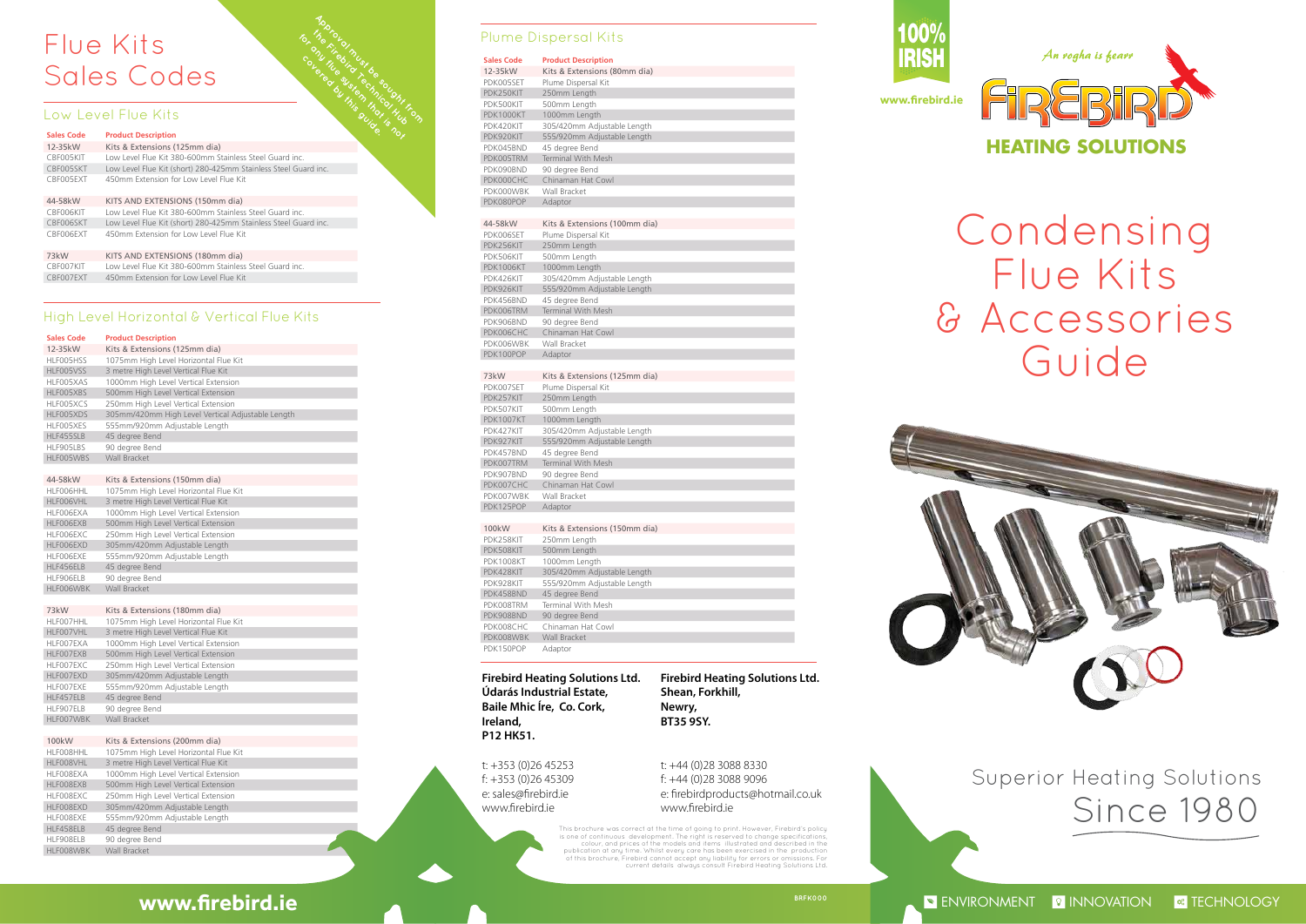## **Firebird Heating Solutions Ltd. Údarás Industrial Estate, Baile Mhic Íre, Co. Cork, Ireland, P12 HK51.**

t: +353 (0)26 45253 f: +353 (0)26 45309 e: sales@firebird.ie www.firebird.ie

**Firebird Heating Solutions Ltd. Shean, Forkhill, Newry, BT35 9SY.**

t: +44 (0)28 3088 8330 f: +44 (0)28 3088 9096 e: firebirdproducts@hotmail.co.uk www.firebird.ie







Superior Heating Solutions Since 1980

**ENVIRONMENT PINNOVATION RESERVIRONGLY** 

### **Sales Code Product Description**

| 12-35 kW  | Kits & Extensions (125mm dia)                     |
|-----------|---------------------------------------------------|
| HLF005HSS | 1075mm High Level Horizontal Flue Kit             |
| HLF005VSS | 3 metre High Level Vertical Flue Kit              |
| HLF005XAS | 1000mm High Level Vertical Extension              |
| HLF005XBS | 500mm High Level Vertical Extension               |
| HLF005XCS | 250mm High Level Vertical Extension               |
| HLF005XDS | 305mm/420mm High Level Vertical Adjustable Length |
| HLF005XES | 555mm/920mm Adjustable Length                     |
| HLF455SLB | 45 degree Bend                                    |
| HLF905LBS | 90 degree Bend                                    |
| HLF005WBS | Wall Bracket                                      |

# Flue Kits Sales Codes Flue Kits **Apples**<br>Sales Codes **Apples Ballis Bandwickles**

### 44-58kW Kits & Extensions (150mm dia) HLF006HHL 1075mm High Level Horizontal Flue Kit HLF006VHL 3 metre High Level Vertical Flue Kit HLF006EXA 1000mm High Level Vertical Extension 500mm High Level Vertical Extension HLF006EXC 250mm High Level Vertical Extension HLF006EXD 305mm/420mm Adjustable Length HLF006EXE 555mm/920mm Adjustable Length HLF456ELB 45 degree Bend HLF906ELB 90 degree Bend HLF006WBK Wall Bracket

This brochure was correct at the time of going to print. However, Firebird's policy is one of continuous development. The right is reserved to change specifications,<br>colour, and prices of the models and items illustrated and described in the<br>publication at any time. Whilst every care has been exercised in

| 73kW      | Kits & Extensions (180mm dia)         |
|-----------|---------------------------------------|
| HLF007HHL | 1075mm High Level Horizontal Flue Kit |
| HLF007VHL | 3 metre High Level Vertical Flue Kit  |
| HLF007EXA | 1000mm High Level Vertical Extension  |
| HLF007EXB | 500mm High Level Vertical Extension   |
| HLF007EXC | 250mm High Level Vertical Extension   |
| HLF007EXD | 305mm/420mm Adjustable Length         |
| HLF007EXE | 555mm/920mm Adjustable Length         |
| HLF457ELB | 45 degree Bend                        |
| HLF907ELB | 90 degree Bend                        |
| HLF007WBK | Wall Bracket                          |

### 100kW Kits & Extensions (200mm dia)

| HLF008HHL | 1075mm High Level Horizontal Flue Kit |
|-----------|---------------------------------------|
| HLF008VHL | 3 metre High Level Vertical Flue Kit  |
| HLF008EXA | 1000mm High Level Vertical Extension  |
| HLF008EXB | 500mm High Level Vertical Extension   |
| HLF008EXC | 250mm High Level Vertical Extension   |
| HLF008EXD | 305mm/420mm Adjustable Length         |
| HLF008EXE | 555mm/920mm Adjustable Length         |
| HLF458ELB | 45 degree Bend                        |
| HLF908ELB | 90 degree Bend                        |
| HLF008WBK | <b>Wall Bracket</b>                   |

# **Sales Code Product Description**

| <b>TOTORIO</b><br>Flue Kits                               |                                                                 |  |  |  |
|-----------------------------------------------------------|-----------------------------------------------------------------|--|--|--|
| OLOHUMBUL SINGLE<br>colered by this outco.<br>Sales Codes |                                                                 |  |  |  |
|                                                           | RIVE<br>Low Level Flue Kits<br><b>THIS ROL</b>                  |  |  |  |
| <b>Sales Code</b>                                         | <b>Product Description</b>                                      |  |  |  |
| 12-35kW                                                   | Kits & Extensions (125mm dia)                                   |  |  |  |
| CBF005KIT                                                 | Low Level Flue Kit 380-600mm Stainless Steel Guard inc.         |  |  |  |
| CBF005SKT                                                 | Low Level Flue Kit (short) 280-425mm Stainless Steel Guard inc. |  |  |  |
| CBF005EXT                                                 | 450mm Extension for Low Level Flue Kit                          |  |  |  |
| 44-58kW                                                   | KITS AND EXTENSIONS (150mm dia)                                 |  |  |  |
| CBF006KIT                                                 | Low Level Flue Kit 380-600mm Stainless Steel Guard inc.         |  |  |  |
| CBF006SKT                                                 | Low Level Flue Kit (short) 280-425mm Stainless Steel Guard inc. |  |  |  |
| CBF006EXT                                                 | 450mm Extension for Low Level Flue Kit                          |  |  |  |
| 73kW                                                      | KITS AND EXTENSIONS (180mm dia)                                 |  |  |  |
| CBF007KIT                                                 | Low Level Flue Kit 380-600mm Stainless Steel Guard inc.         |  |  |  |
| CBF007EXT                                                 | 450mm Extension for Low Level Flue Kit                          |  |  |  |

the Firebird Technical Hub<br>Prince Hub And Beau<br>Level And And Prince Hub<br>And *Hub And And Hub* 

# Condensing Flue Kits & Accessories Guide

# High Level Horizontal & Vertical Flue Kits

# Plume Dispersal Kits

# **Sales Code Product Descriptive**

| Sales Code             | Product Description               |
|------------------------|-----------------------------------|
| 12-35kW                | Kits & Extensions (80mm dia)      |
| PDK005SET              | Plume Dispersal Kit               |
| PDK250KIT              | 250mm Length                      |
| PDK500KIT              | 500mm Length                      |
| PDK1000KT              | 1000mm Length                     |
| PDK420KIT              | 305/420mm Adjustable Length       |
| PDK920KIT              | 555/920mm Adjustable Length       |
| PDK045BND              | 45 degree Bend                    |
| PDK005TRM              | <b>Terminal With Mesh</b>         |
| PDK090BND              | 90 degree Bend                    |
| PDK000CHC              | Chinaman Hat Cowl                 |
| PDK000WBK              | Wall Bracket                      |
| PDK080POP              | Adaptor                           |
|                        |                                   |
| 44-58kW                | Kits & Extensions (100mm dia)     |
| PDK006SET              | Plume Dispersal Kit               |
| PDK256KIT              | 250mm Length                      |
| PDK506KIT              | 500mm Length                      |
| <b>PDK1006KT</b>       | 1000mm Length                     |
| PDK426KIT              | 305/420mm Adjustable Length       |
| PDK926KIT              | 555/920mm Adjustable Length       |
| PDK456BND              | 45 degree Bend                    |
| PDK006TRM              | <b>Terminal With Mesh</b>         |
| PDK906BND              | 90 degree Bend                    |
| PDK006CHC              | Chinaman Hat Cowl                 |
| PDK006WBK              | Wall Bracket                      |
| PDK100POP              | Adaptor                           |
|                        |                                   |
| 73kW                   | Kits & Extensions (125mm dia)     |
| PDK007SET              | Plume Dispersal Kit               |
| PDK257KIT              | 250mm Length                      |
| PDK507KIT              | 500mm Length                      |
| <b>PDK1007KT</b>       | 1000mm Length                     |
| PDK427KIT              | 305/420mm Adjustable Length       |
| PDK927KIT              | 555/920mm Adjustable Length       |
| PDK457BND              | 45 degree Bend                    |
| PDK007TRM              | <b>Terminal With Mesh</b>         |
| PDK907BND              | 90 degree Bend                    |
| PDK007CHC<br>PDK007WBK | Chinaman Hat Cowl<br>Wall Bracket |
| PDK125POP              | Adaptor                           |
|                        |                                   |
| 100kW                  | Kits & Extensions (150mm dia)     |
| PDK258KIT              | 250mm Length                      |
| PDK508KIT              | 500mm Length                      |
| <b>PDK1008KT</b>       | 1000mm Length                     |
| PDK428KIT              | 305/420mm Adjustable Length       |
| PDK928KIT              | 555/920mm Adjustable Length       |
| PDK458BND              | 45 degree Bend                    |
| PDK008TRM              | <b>Terminal With Mesh</b>         |
| PDK908BND              | 90 degree Bend                    |
| PDK008CHC              | Chinaman Hat Cowl                 |
| PDK008WBK              | <b>Wall Bracket</b>               |
| PDK150POP              | Adaptor                           |
|                        |                                   |